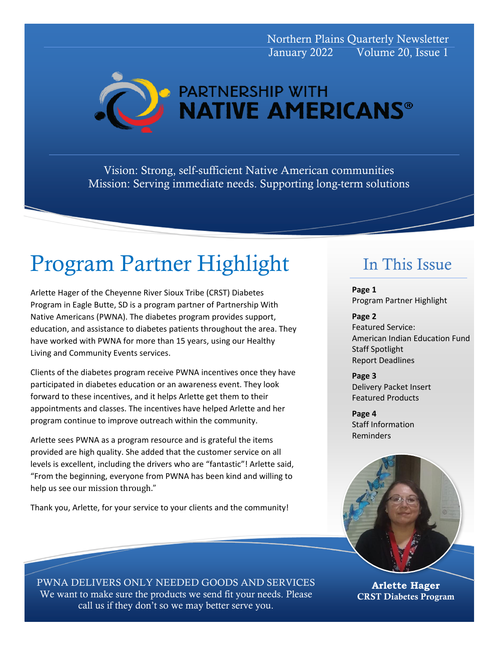Northern Plains Quarterly Newsletter January 2022 Volume 20, Issue 1



Vision: Strong, self-sufficient Native American communities Mission: Serving immediate needs. Supporting long-term solutions

# Program Partner Highlight

Arlette Hager of the Cheyenne River Sioux Tribe (CRST) Diabetes Program in Eagle Butte, SD is a program partner of Partnership With Native Americans (PWNA). The diabetes program provides support, education, and assistance to diabetes patients throughout the area. They have worked with PWNA for more than 15 years, using our Healthy Living and Community Events services.

Clients of the diabetes program receive PWNA incentives once they have participated in diabetes education or an awareness event. They look forward to these incentives, and it helps Arlette get them to their appointments and classes. The incentives have helped Arlette and her program continue to improve outreach within the community.

Arlette sees PWNA as a program resource and is grateful the items provided are high quality. She added that the customer service on all levels is excellent, including the drivers who are "fantastic"! Arlette said, "From the beginning, everyone from PWNA has been kind and willing to help us see our mission through."

Thank you, Arlette, for your service to your clients and the community!

# In This Issue

**Page 1** Program Partner Highlight

**Page 2** Featured Service: American Indian Education Fund Staff Spotlight Report Deadlines

**Page 3** Delivery Packet Insert Featured Products

**Page 4** Staff Information Reminders



**Arlette Hager** CRST Diabetes Program

PWNA DELIVERS ONLY NEEDED GOODS AND SERVICES We want to make sure the products we send fit your needs. Please call us if they don't so we may better serve you.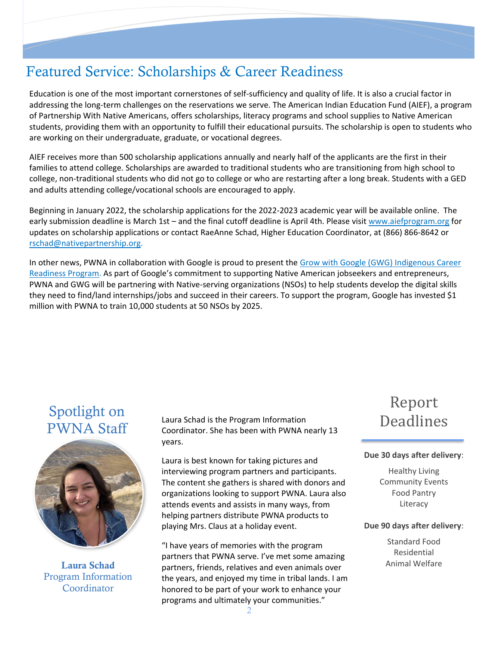### Featured Service: Scholarships & Career Readiness

Education is one of the most important cornerstones of self-sufficiency and quality of life. It is also a crucial factor in addressing the long-term challenges on the reservations we serve. The American Indian Education Fund (AIEF), a program of Partnership With Native Americans, offers scholarships, literacy programs and school supplies to Native American students, providing them with an opportunity to fulfill their educational pursuits. The scholarship is open to students who are working on their undergraduate, graduate, or vocational degrees.

AIEF receives more than 500 scholarship applications annually and nearly half of the applicants are the first in their families to attend college. Scholarships are awarded to traditional students who are transitioning from high school to college, non-traditional students who did not go to college or who are restarting after a long break. Students with a GED and adults attending college/vocational schools are encouraged to apply.

Beginning in January 2022, the scholarship applications for the 2022-2023 academic year will be available online. The early submission deadline is March 1st – and the final cutoff deadline is April 4th. Please visit [www.aiefprogram.org](http://www.aiefprogram.org/) for updates on scholarship applications or contact RaeAnne Schad, Higher Education Coordinator, at (866) 866-8642 or [rschad@nativepartnership.org.](mailto:rschad@nativepartnership.org)

In other news, PWNA in collaboration with Google is proud to present the Grow with Google (GWG) Indigenous Career [Readiness Program.](http://www.nativepartnership.org/site/PageServer?pagename=grow_with_google) As part of Google's commitment to supporting Native American jobseekers and entrepreneurs, PWNA and GWG will be partnering with Native-serving organizations (NSOs) to help students develop the digital skills they need to find/land internships/jobs and succeed in their careers. To support the program, Google has invested \$1 million with PWNA to train 10,000 students at 50 NSOs by 2025.

### Spotlight on PWNA Staff



Program Information Coordinator

Laura Schad is the Program Information Coordinator. She has been with PWNA nearly 13 years.

Laura is best known for taking pictures and interviewing program partners and participants. The content she gathers is shared with donors and organizations looking to support PWNA. Laura also attends events and assists in many ways, from helping partners distribute PWNA products to playing Mrs. Claus at a holiday event.

"I have years of memories with the program partners that PWNA serve. I've met some amazing Laura Schad **Exercise Schad partners, friends, relatives and even animals over** Animal Welfare the years, and enjoyed my time in tribal lands. I am honored to be part of your work to enhance your programs and ultimately your communities."

# Report Deadlines

#### **Due 30 days after delivery**:

Healthy Living Community Events Food Pantry Literacy

#### **Due 90 days after delivery**:

Standard Food Residential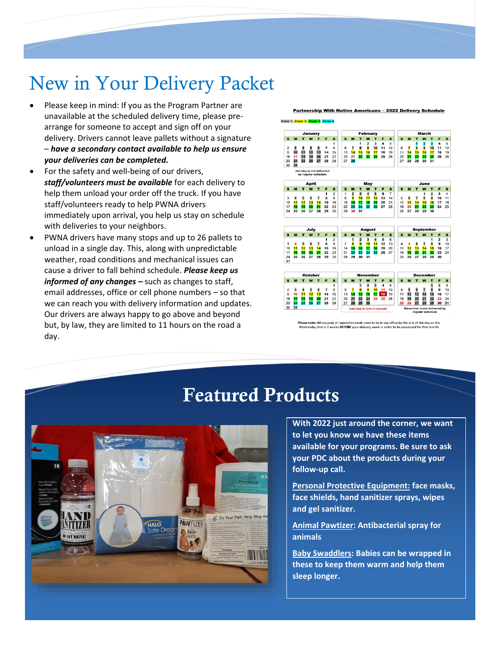# New in Your Delivery Packet

- Please keep in mind: If you as the Program Partner are unavailable at the scheduled delivery time, please prearrange for someone to accept and sign off on your delivery. Drivers cannot leave pallets without a signature – *have a secondary contact available to help us ensure your deliveries can be completed.*
- For the safety and well-being of our drivers, *staff/volunteers must be available* for each delivery to help them unload your order off the truck. If you have staff/volunteers ready to help PWNA drivers immediately upon arrival, you help us stay on schedule with deliveries to your neighbors.
- PWNA drivers have many stops and up to 26 pallets to unload in a single day. This, along with unpredictable weather, road conditions and mechanical issues can cause a driver to fall behind schedule. *Please keep us informed of any changes –* such as changes to staff, email addresses, office or cell phone numbers – so that we can reach you with delivery information and updates. Our drivers are always happy to go above and beyond but, by law, they are limited to 11 hours on the road a day.



ewals need to be in our office by the end of the day on the note: All rec ests or report/re Wednesday that is 2 weeks BEFORE your delivery



# Featured Products

**With 2022 just around the corner, we want to let you know we have these items available for your programs. Be sure to ask your PDC about the products during your follow-up call.** 

**Personal Protective Equipment: face masks, face shields, hand sanitizer sprays, wipes and gel sanitizer.**

**Animal Pawtizer: Antibacterial spray for animals**

**Baby Swaddlers: Babies can be wrapped in these to keep them warm and help them sleep longer.**